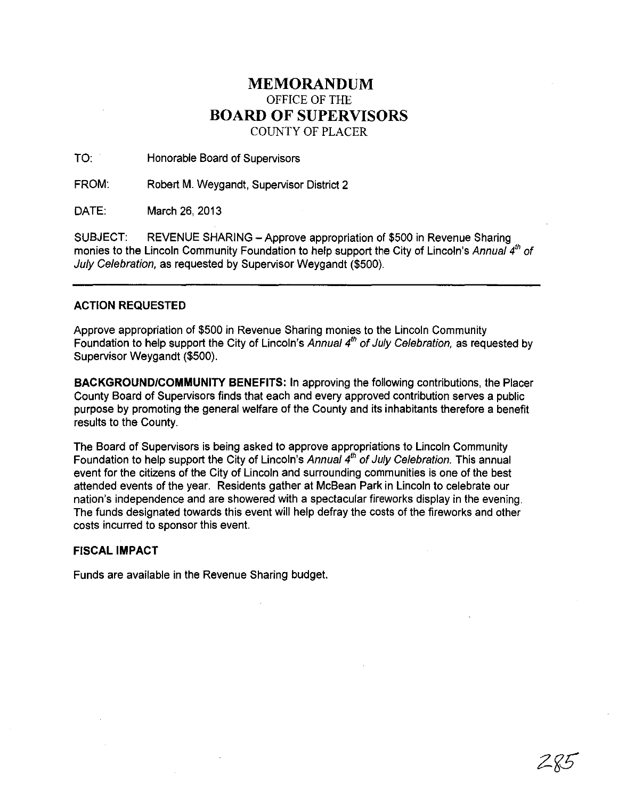## **MEMORANDUM** OFFICE OF THE **BOARD OF SUPERVISORS**

COUNTY OF PLACER

TO: Honorable Board of Supervisors

FROM: Robert M. Weygandt, Supervisor District 2

DATE: March 26,2013

SUBJECT: REVENUE SHARING - Approve appropriation of \$500 in Revenue Sharing monies to the Lincoln Community Foundation to help support the City of Lincoln's Annual 4<sup>th</sup> of July Celebration, as requested by Supervisor Weygandt (\$500).

#### ACTION **REQUESTED**

Approve appropriation of \$500 in Revenue Sharing monies to the Lincoln Community Foundation to help support the City of Lincoln's Annual  $4<sup>th</sup>$  of July Celebration, as requested by Supervisor Weygandt (\$500).

**BACKGROUNDICOMMUNITY BENEFITS:** In approving the following contributions, the Placer County Board of Supervisors finds that each and every approved contribution serves a public purpose by promoting the general welfare of the County and its inhabitants therefore a benefit results to the County.

The Board of Supervisors is being asked to approve appropriations to Lincoln Community Foundation to help support the City of Lincoln's Annual  $4<sup>th</sup>$  of July Celebration. This annual event for the citizens of the City of Lincoln and surrounding communities is one of the best attended events of the year. Residents gather at McBean Park in Lincoln to celebrate our nation's independence and are showered with a spectacular fireworks display in the evening. The funds designated towards this event will help defray the costs of the fireworks and other costs incurred to sponsor this event.

#### **FISCAL IMPACT**

Funds are available in the Revenue Sharing budget.